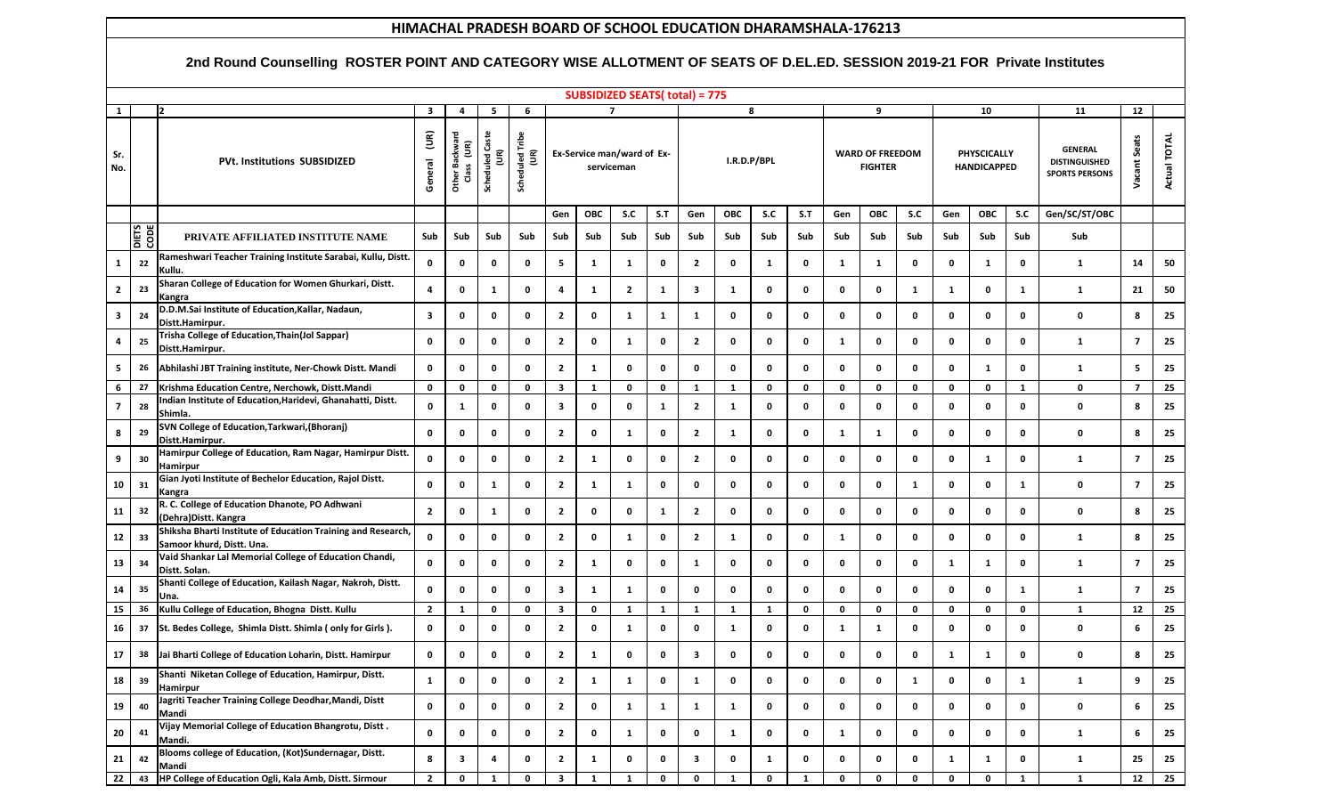## **HIMACHAL PRADESH BOARD OF SCHOOL EDUCATION DHARAMSHALA-176213**

## **2nd Round Counselling ROSTER POINT AND CATEGORY WISE ALLOTMENT OF SEATS OF D.EL.ED. SESSION 2019-21 FOR Private Institutes**

| <b>SUBSIDIZED SEATS( total) = 775</b> |             |                                                                                          |                              |                                                     |                          |                                                    |                         |                                          |              |              |                         |              |             |              |                                          |             |              |                                   |              |              |                                                                 |                    |              |
|---------------------------------------|-------------|------------------------------------------------------------------------------------------|------------------------------|-----------------------------------------------------|--------------------------|----------------------------------------------------|-------------------------|------------------------------------------|--------------|--------------|-------------------------|--------------|-------------|--------------|------------------------------------------|-------------|--------------|-----------------------------------|--------------|--------------|-----------------------------------------------------------------|--------------------|--------------|
| 1                                     |             |                                                                                          | $\overline{\mathbf{3}}$      | 4                                                   | 5                        | 6                                                  |                         | $\overline{7}$                           |              |              | 8                       |              |             |              | 9                                        |             |              | 10                                |              |              | 11                                                              | 12                 |              |
| Sr.<br>No.                            |             | <b>PVt. Institutions SUBSIDIZED</b>                                                      | $\widetilde{\Xi}$<br>General | Other Backward<br>$\widetilde{\mathsf{E}}$<br>Class | Ф<br>Scheduled Cast<br>g | <b>Scheduled Tribe</b><br>$\widetilde{\mathsf{E}}$ |                         | Ex-Service man/ward of Ex-<br>serviceman |              |              | I.R.D.P/BPL             |              |             |              | <b>WARD OF FREEDOM</b><br><b>FIGHTER</b> |             |              | PHYSCICALLY<br><b>HANDICAPPED</b> |              |              | <b>GENERAL</b><br><b>DISTINGUISHED</b><br><b>SPORTS PERSONS</b> | Seats<br>tant<br>Š | Actual TOTAL |
|                                       |             |                                                                                          |                              |                                                     |                          |                                                    | Gen                     | <b>OBC</b>                               | S.C          | S.T          | Gen                     | <b>OBC</b>   | S.C         | S.T          | Gen                                      | <b>OBC</b>  | S.C          | Gen                               | <b>OBC</b>   | S.C          | Gen/SC/ST/OBC                                                   |                    |              |
|                                       | ODE<br>CODE | PRIVATE AFFILIATED INSTITUTE NAME                                                        | Sub                          | Sub                                                 | Sub                      | Sub                                                | Sub                     | Sub                                      | Sub          | Sub          | Sub                     | Sub          | Sub         | Sub          | Sub                                      | Sub         | Sub          | Sub                               | Sub          | Sub          | Sub                                                             |                    |              |
| 1                                     | 22          | Rameshwari Teacher Training Institute Sarabai, Kullu, Distt<br>Kullu.                    | 0                            | 0                                                   | 0                        | 0                                                  | 5                       | 1                                        | $\mathbf{1}$ | 0            | $\overline{2}$          | 0            | 1           | $\mathbf 0$  | 1                                        | 1           | 0            | 0                                 | 1            | 0            | 1                                                               | 14                 | 50           |
| $\overline{2}$                        | 23          | Sharan College of Education for Women Ghurkari, Distt.<br>Kangra                         | $\overline{4}$               | $\mathbf 0$                                         | 1                        | $\mathbf 0$                                        | 4                       | 1                                        | 2            | 1            | $\overline{\mathbf{3}}$ | -1           | 0           | 0            | 0                                        | 0           | $\mathbf{1}$ | -1                                | $\mathbf 0$  | $\mathbf{1}$ | 1                                                               | 21                 | 50           |
| $\mathbf{3}$                          | 24          | D.D.M.Sai Institute of Education, Kallar, Nadaun,<br>Distt.Hamirpur.                     | $\overline{\mathbf{3}}$      | 0                                                   | 0                        | 0                                                  | $\mathbf{2}$            | 0                                        | $\mathbf{1}$ | 1            | $\mathbf{1}$            | 0            | 0           | 0            | 0                                        | 0           | 0            | 0                                 | $\mathbf 0$  | 0            | 0                                                               | 8                  | 25           |
| 4                                     | 25          | Trisha College of Education, Thain(Jol Sappar)<br>Distt.Hamirpur.                        | 0                            | 0                                                   | 0                        | 0                                                  | $\mathbf{2}$            | 0                                        | $\mathbf{1}$ | 0            | $\overline{2}$          | $\mathbf 0$  | 0           | 0            | $\mathbf{1}$                             | 0           | 0            | 0                                 | 0            | 0            | 1                                                               | $\overline{7}$     | 25           |
| 5                                     | 26          | Abhilashi JBT Training institute, Ner-Chowk Distt. Mandi                                 | $\mathbf 0$                  | 0                                                   | $\mathbf 0$              | 0                                                  | $\overline{2}$          | 1                                        | 0            | $\mathbf 0$  | $\mathbf 0$             | $\mathbf 0$  | 0           | $\mathbf 0$  | 0                                        | $\mathbf 0$ | 0            | $\mathbf 0$                       | $\mathbf{1}$ | 0            | $\mathbf{1}$                                                    | 5                  | 25           |
| 6                                     | 27          | Krishma Education Centre, Nerchowk, Distt.Mandi                                          | $\mathbf 0$                  | 0                                                   | $\mathbf 0$              | $\mathbf 0$                                        | $\overline{\mathbf{3}}$ | 1                                        | $\mathbf 0$  | 0            | $\mathbf{1}$            | $\mathbf{1}$ | 0           | $\mathbf 0$  | 0                                        | 0           | $\mathbf 0$  | $\mathbf 0$                       | $\mathbf 0$  | <sup>1</sup> | $\mathbf 0$                                                     | $\overline{7}$     | 25           |
| $\overline{7}$                        | 28          | Indian Institute of Education, Haridevi, Ghanahatti, Distt.<br>Shimla.                   | 0                            | $\mathbf{1}$                                        | 0                        | 0                                                  | 3                       | 0                                        | 0            | 1            | $\overline{2}$          | -1           | 0           | 0            | 0                                        | 0           | 0            | 0                                 | 0            | 0            | 0                                                               | 8                  | 25           |
| 8                                     | 29          | SVN College of Education, Tarkwari, (Bhoranj)<br>Distt.Hamirpur.                         | $\mathbf 0$                  | $\mathbf 0$                                         | 0                        | $\mathbf 0$                                        | $\mathbf{2}$            | 0                                        | $\mathbf{1}$ | 0            | $\overline{2}$          | -1           | 0           | 0            | $\mathbf{1}$                             | 1           | 0            | 0                                 | $\mathbf 0$  | 0            | 0                                                               | 8                  | 25           |
| 9                                     | 30          | Hamirpur College of Education, Ram Nagar, Hamirpur Distt.<br>Hamirpur                    | 0                            | 0                                                   | 0                        | $\mathbf 0$                                        | $\mathbf{2}$            | 1                                        | $\mathbf 0$  | 0            | $\overline{2}$          | $\mathbf 0$  | 0           | 0            | 0                                        | 0           | 0            | 0                                 | $\mathbf{1}$ | 0            | $\mathbf{1}$                                                    | $\overline{7}$     | 25           |
| 10                                    | 31          | Gian Jyoti Institute of Bechelor Education, Rajol Distt.<br>Kangra                       | 0                            | 0                                                   | $\mathbf{1}$             | 0                                                  | $\mathbf{2}$            | 1                                        | $\mathbf{1}$ | 0            | $\mathbf 0$             | 0            | 0           | 0            | 0                                        | 0           | $\mathbf{1}$ | 0                                 | 0            | 1            | 0                                                               | $\overline{7}$     | 25           |
| 11                                    | 32          | R. C. College of Education Dhanote, PO Adhwani<br>(Dehra)Distt. Kangra                   | $\overline{2}$               | $\mathbf 0$                                         | $\mathbf{1}$             | 0                                                  | $\mathbf{2}$            | 0                                        | $\mathbf 0$  | 1            | $\overline{2}$          | 0            | 0           | 0            | 0                                        | 0           | 0            | 0                                 | $\mathbf 0$  | 0            | 0                                                               | 8                  | 25           |
| 12                                    | 33          | Shiksha Bharti Institute of Education Training and Research<br>Samoor khurd, Distt. Una. | 0                            | 0                                                   | 0                        | $\mathbf 0$                                        | $\mathbf{2}$            | 0                                        | $\mathbf{1}$ | 0            | $\mathbf{2}$            | $\mathbf{1}$ | 0           | 0            | $\mathbf{1}$                             | 0           | 0            | 0                                 | 0            | 0            | 1                                                               | 8                  | 25           |
| 13                                    | 34          | Vaid Shankar Lal Memorial College of Education Chandi,<br>Distt. Solan.                  | 0                            | 0                                                   | 0                        | 0                                                  | $\mathbf{2}$            | 1                                        | 0            | 0            | 1                       | 0            | 0           | 0            | 0                                        | 0           | 0            | 1                                 | $\mathbf{1}$ | 0            | 1                                                               | 7                  | 25           |
| 14                                    | 35          | Shanti College of Education, Kailash Nagar, Nakroh, Distt.<br>Una.                       | $\bf{0}$                     | 0                                                   | 0                        | $\mathbf 0$                                        | 3                       | 1                                        | $\mathbf{1}$ | 0            | $\mathbf 0$             | $\mathbf 0$  | 0           | 0            | 0                                        | 0           | 0            | 0                                 | $\mathbf 0$  | 1            | 1                                                               | $\overline{7}$     | 25           |
| <b>15</b>                             | 36          | Kullu College of Education, Bhogna Distt. Kullu                                          | $\overline{2}$               | $\mathbf{1}$                                        | $\mathbf 0$              | $\mathbf 0$                                        | 3                       | 0                                        | $\mathbf{1}$ | 1            | $\mathbf{1}$            | $\mathbf{1}$ | 1           | $\mathbf 0$  | 0                                        | 0           | 0            | 0                                 | 0            | 0            | $\mathbf{1}$                                                    | 12                 | 25           |
| 16                                    | 37          | St. Bedes College, Shimla Distt. Shimla (only for Girls).                                | 0                            | 0                                                   | 0                        | 0                                                  | 2                       | 0                                        | $\mathbf{1}$ | 0            | $\mathbf 0$             | -1           | 0           | 0            | 1                                        | 1           | 0            | 0                                 | 0            | 0            | 0                                                               | 6                  | 25           |
| 17                                    | 38          | Jai Bharti College of Education Loharin, Distt. Hamirpur                                 | 0                            | 0                                                   | 0                        | 0                                                  | 2                       | 1                                        | 0            | 0            | 3                       | 0            | 0           | 0            | 0                                        | 0           | 0            | 1                                 | 1            | 0            | 0                                                               | 8                  | 25           |
| 18                                    | 39          | Shanti Niketan College of Education, Hamirpur, Distt.<br><b>Hamirpur</b>                 | <sup>-</sup> 1               | 0                                                   | 0                        | 0                                                  | 2                       | 1                                        | 1            | 0            | 1                       | 0            | 0           | 0            | 0                                        | 0           | 1            | 0                                 | 0            | 1            | 1                                                               | 9                  | 25           |
| 19                                    | 40          | Jagriti Teacher Training College Deodhar, Mandi, Distt<br>Mandi                          | $\pmb{0}$                    | $\mathbf 0$                                         | $\mathbf 0$              | $\mathbf 0$                                        | $\mathbf{2}$            | 0                                        | $\mathbf{1}$ | $\mathbf{1}$ | $\mathbf{1}$            | $\mathbf{1}$ | 0           | $\mathbf 0$  | 0                                        | 0           | $\mathbf 0$  | 0                                 | $\mathbf 0$  | 0            | 0                                                               | 6                  | 25           |
| ${\bf 20}$                            | 41          | Vijay Memorial College of Education Bhangrotu, Distt.<br>Mandi.                          | $\mathbf 0$                  | 0                                                   | $\mathbf 0$              | 0                                                  | $\mathbf{2}$            | 0                                        | $\mathbf{1}$ | 0            | $\mathbf 0$             | $\mathbf{1}$ | 0           | $\mathbf 0$  | $\mathbf{1}$                             | 0           | $\mathbf 0$  | 0                                 | $\mathbf 0$  | 0            | 1                                                               | 6                  | 25           |
| ${\bf 21}$                            | 42          | Blooms college of Education, (Kot)Sundernagar, Distt.<br>Mandi                           | 8                            | 3                                                   | 4                        | 0                                                  | $\mathbf{2}$            | 1                                        | 0            | 0            | $\mathbf{3}$            | 0            | 1           | $\mathbf 0$  | 0                                        | 0           | 0            | 1                                 | $\mathbf{1}$ | 0            | 1                                                               | 25                 | 25           |
| 22                                    | 43          | HP College of Education Ogli, Kala Amb, Distt. Sirmour                                   | $\overline{2}$               | $\mathbf 0$                                         | $\mathbf{1}$             | $\mathbf 0$                                        | $\mathbf{3}$            | $\mathbf{1}$                             | $\mathbf{1}$ | 0            | $\mathbf 0$             | $\mathbf{1}$ | $\mathbf 0$ | $\mathbf{1}$ | 0                                        | $\mathbf 0$ | $\mathbf 0$  | $\mathbf 0$                       | 0            | $\mathbf{1}$ | $\mathbf{1}$                                                    | 12                 | 25           |